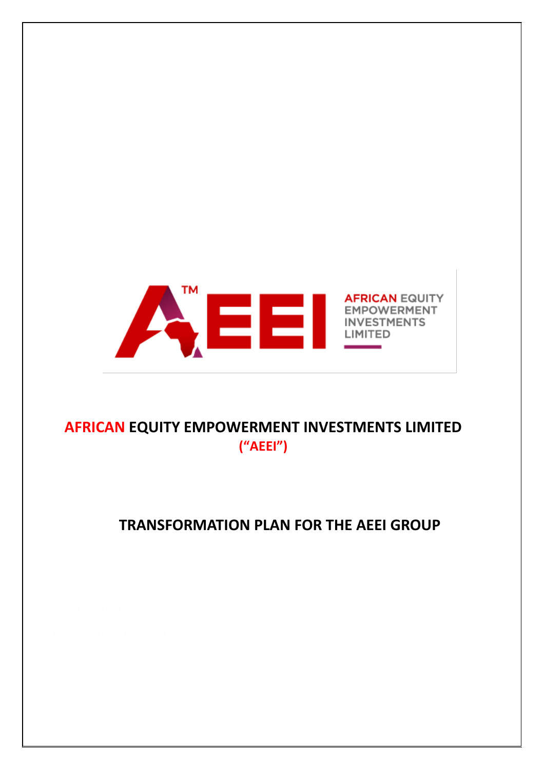

# **AFRICAN EQUITY EMPOWERMENT INVESTMENTS LIMITED ("AEEI")**

# **TRANSFORMATION PLAN FOR THE AEEI GROUP**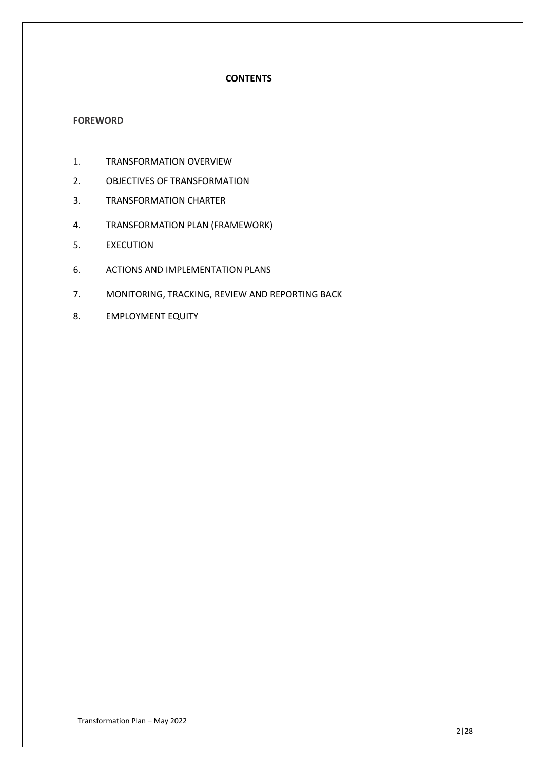## **CONTENTS**

#### **FOREWORD**

- 1. TRANSFORMATION OVERVIEW
- 2. OBJECTIVES OF TRANSFORMATION
- 3. TRANSFORMATION CHARTER
- 4. TRANSFORMATION PLAN (FRAMEWORK)
- 5. EXECUTION
- 6. ACTIONS AND IMPLEMENTATION PLANS
- 7. MONITORING, TRACKING, REVIEW AND REPORTING BACK
- 8. EMPLOYMENT EQUITY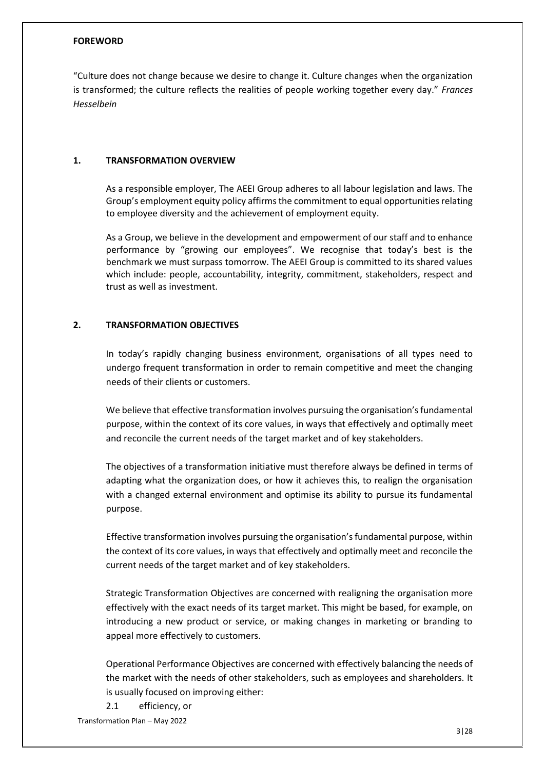#### **FOREWORD**

"Culture does not change because we desire to change it. Culture changes when the organization is transformed; the culture reflects the realities of people working together every day." *Frances Hesselbein*

#### **1. TRANSFORMATION OVERVIEW**

As a responsible employer, The AEEI Group adheres to all labour legislation and laws. The Group's employment equity policy affirms the commitment to equal opportunities relating to employee diversity and the achievement of employment equity.

As a Group, we believe in the development and empowerment of our staff and to enhance performance by "growing our employees". We recognise that today's best is the benchmark we must surpass tomorrow. The AEEI Group is committed to its shared values which include: people, accountability, integrity, commitment, stakeholders, respect and trust as well as investment.

### **2. TRANSFORMATION OBJECTIVES**

In today's rapidly changing business environment, organisations of all types need to undergo frequent transformation in order to remain competitive and meet the changing needs of their clients or customers.

We believe that effective transformation involves pursuing the organisation's fundamental purpose, within the context of its core values, in ways that effectively and optimally meet and reconcile the current needs of the target market and of key stakeholders.

The objectives of a transformation initiative must therefore always be defined in terms of adapting what the organization does, or how it achieves this, to realign the organisation with a changed external environment and optimise its ability to pursue its fundamental purpose.

Effective transformation involves pursuing the organisation's fundamental purpose, within the context of its core values, in ways that effectively and optimally meet and reconcile the current needs of the target market and of key stakeholders.

Strategic Transformation Objectives are concerned with realigning the organisation more effectively with the exact needs of its target market. This might be based, for example, on introducing a new product or service, or making changes in marketing or branding to appeal more effectively to customers.

Operational Performance Objectives are concerned with effectively balancing the needs of the market with the needs of other stakeholders, such as employees and shareholders. It is usually focused on improving either:

Transformation Plan – May 2022 2.1 efficiency, or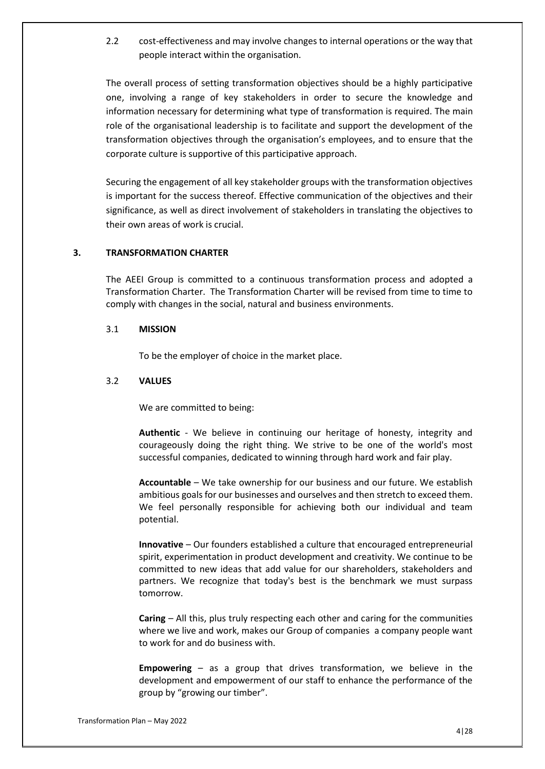2.2 cost-effectiveness and may involve changes to internal operations or the way that people interact within the organisation.

The overall process of setting transformation objectives should be a highly participative one, involving a range of key stakeholders in order to secure the knowledge and information necessary for determining what type of transformation is required. The main role of the organisational leadership is to facilitate and support the development of the transformation objectives through the organisation's employees, and to ensure that the corporate culture is supportive of this participative approach.

Securing the engagement of all key stakeholder groups with the transformation objectives is important for the success thereof. Effective communication of the objectives and their significance, as well as direct involvement of stakeholders in translating the objectives to their own areas of work is crucial.

### **3. TRANSFORMATION CHARTER**

The AEEI Group is committed to a continuous transformation process and adopted a Transformation Charter. The Transformation Charter will be revised from time to time to comply with changes in the social, natural and business environments.

#### 3.1 **MISSION**

To be the employer of choice in the market place.

#### 3.2 **VALUES**

We are committed to being:

**Authentic** - We believe in continuing our heritage of honesty, integrity and courageously doing the right thing. We strive to be one of the world's most successful companies, dedicated to winning through hard work and fair play.

**Accountable** – We take ownership for our business and our future. We establish ambitious goals for our businesses and ourselves and then stretch to exceed them. We feel personally responsible for achieving both our individual and team potential.

**Innovative** – Our founders established a culture that encouraged entrepreneurial spirit, experimentation in product development and creativity. We continue to be committed to new ideas that add value for our shareholders, stakeholders and partners. We recognize that today's best is the benchmark we must surpass tomorrow.

**Caring** – All this, plus truly respecting each other and caring for the communities where we live and work, makes our Group of companies a company people want to work for and do business with.

**Empowering** – as a group that drives transformation, we believe in the development and empowerment of our staff to enhance the performance of the group by "growing our timber".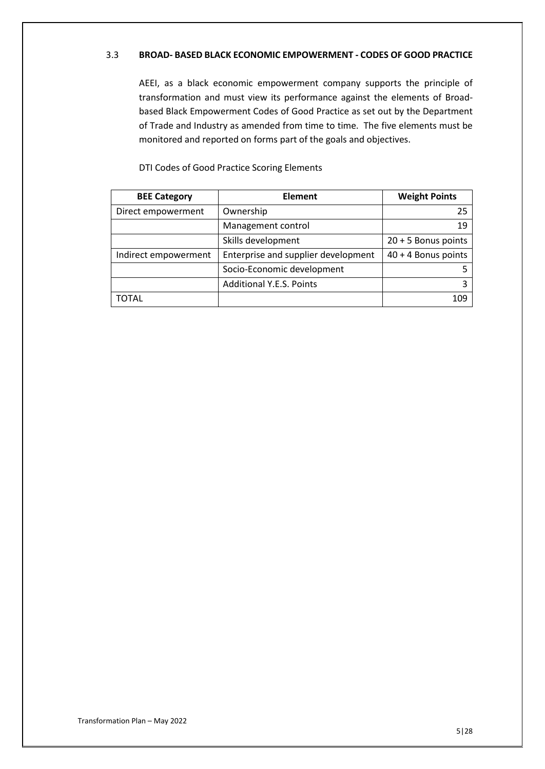## 3.3 **BROAD- BASED BLACK ECONOMIC EMPOWERMENT - CODES OF GOOD PRACTICE**

AEEI, as a black economic empowerment company supports the principle of transformation and must view its performance against the elements of Broadbased Black Empowerment Codes of Good Practice as set out by the Department of Trade and Industry as amended from time to time. The five elements must be monitored and reported on forms part of the goals and objectives.

| <b>BEE Category</b>  | <b>Element</b>                      | <b>Weight Points</b> |
|----------------------|-------------------------------------|----------------------|
| Direct empowerment   | Ownership                           | 25                   |
|                      | Management control                  | 19                   |
|                      | Skills development                  | 20 + 5 Bonus points  |
| Indirect empowerment | Enterprise and supplier development | 40 + 4 Bonus points  |
|                      | Socio-Economic development          |                      |
|                      | <b>Additional Y.E.S. Points</b>     |                      |
| TOTAL                |                                     | 109                  |

DTI Codes of Good Practice Scoring Elements

Transformation Plan – May 2022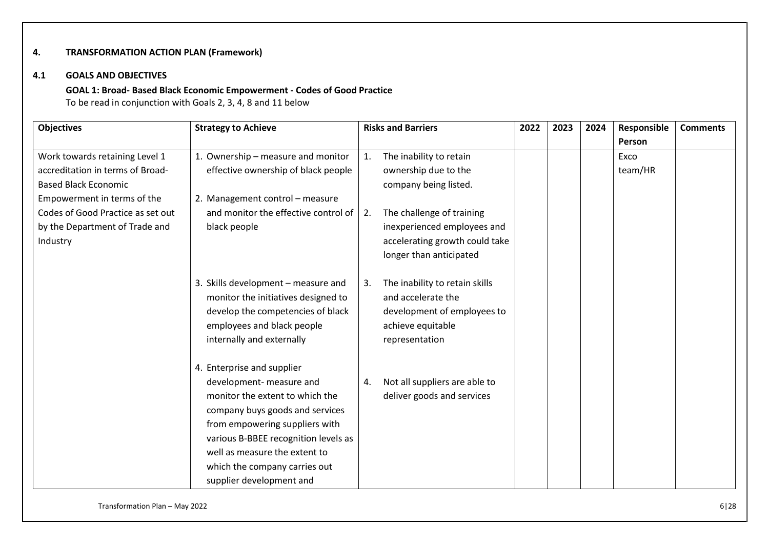# **4. TRANSFORMATION ACTION PLAN (Framework)**

#### **4.1 GOALS AND OBJECTIVES**

## **GOAL 1: Broad- Based Black Economic Empowerment - Codes of Good Practice**

To be read in conjunction with Goals 2, 3, 4, 8 and 11 below

| <b>Objectives</b>                 | <b>Strategy to Achieve</b>                                  | <b>Risks and Barriers</b>                     | 2022 | 2023 | 2024 | Responsible | <b>Comments</b> |
|-----------------------------------|-------------------------------------------------------------|-----------------------------------------------|------|------|------|-------------|-----------------|
|                                   |                                                             |                                               |      |      |      | Person      |                 |
| Work towards retaining Level 1    | 1. Ownership - measure and monitor                          | The inability to retain<br>1.                 |      |      |      | Exco        |                 |
| accreditation in terms of Broad-  | effective ownership of black people                         | ownership due to the                          |      |      |      | team/HR     |                 |
| <b>Based Black Economic</b>       |                                                             | company being listed.                         |      |      |      |             |                 |
| Empowerment in terms of the       | 2. Management control - measure                             |                                               |      |      |      |             |                 |
| Codes of Good Practice as set out | and monitor the effective control of                        | The challenge of training<br>$\vert 2. \vert$ |      |      |      |             |                 |
| by the Department of Trade and    | black people                                                | inexperienced employees and                   |      |      |      |             |                 |
| Industry                          |                                                             | accelerating growth could take                |      |      |      |             |                 |
|                                   |                                                             | longer than anticipated                       |      |      |      |             |                 |
|                                   |                                                             |                                               |      |      |      |             |                 |
|                                   | 3. Skills development - measure and                         | The inability to retain skills<br>3.          |      |      |      |             |                 |
|                                   | monitor the initiatives designed to                         | and accelerate the                            |      |      |      |             |                 |
|                                   | develop the competencies of black                           | development of employees to                   |      |      |      |             |                 |
|                                   | employees and black people                                  | achieve equitable                             |      |      |      |             |                 |
|                                   | internally and externally                                   | representation                                |      |      |      |             |                 |
|                                   |                                                             |                                               |      |      |      |             |                 |
|                                   | 4. Enterprise and supplier                                  |                                               |      |      |      |             |                 |
|                                   | development- measure and<br>monitor the extent to which the | Not all suppliers are able to<br>4.           |      |      |      |             |                 |
|                                   |                                                             | deliver goods and services                    |      |      |      |             |                 |
|                                   | company buys goods and services                             |                                               |      |      |      |             |                 |
|                                   | from empowering suppliers with                              |                                               |      |      |      |             |                 |
|                                   | various B-BBEE recognition levels as                        |                                               |      |      |      |             |                 |
|                                   | well as measure the extent to                               |                                               |      |      |      |             |                 |
|                                   | which the company carries out                               |                                               |      |      |      |             |                 |
|                                   | supplier development and                                    |                                               |      |      |      |             |                 |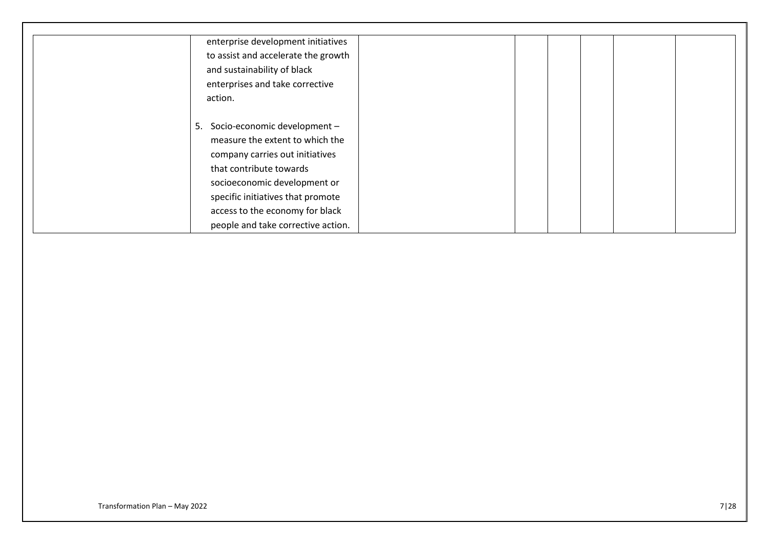| enterprise development initiatives  |                                                                                                                                                  |
|-------------------------------------|--------------------------------------------------------------------------------------------------------------------------------------------------|
| to assist and accelerate the growth |                                                                                                                                                  |
| and sustainability of black         |                                                                                                                                                  |
| enterprises and take corrective     |                                                                                                                                                  |
| action.                             |                                                                                                                                                  |
|                                     |                                                                                                                                                  |
| Socio-economic development -        |                                                                                                                                                  |
| measure the extent to which the     |                                                                                                                                                  |
| company carries out initiatives     |                                                                                                                                                  |
| that contribute towards             |                                                                                                                                                  |
|                                     |                                                                                                                                                  |
|                                     |                                                                                                                                                  |
|                                     |                                                                                                                                                  |
|                                     |                                                                                                                                                  |
|                                     | 5.<br>socioeconomic development or<br>specific initiatives that promote<br>access to the economy for black<br>people and take corrective action. |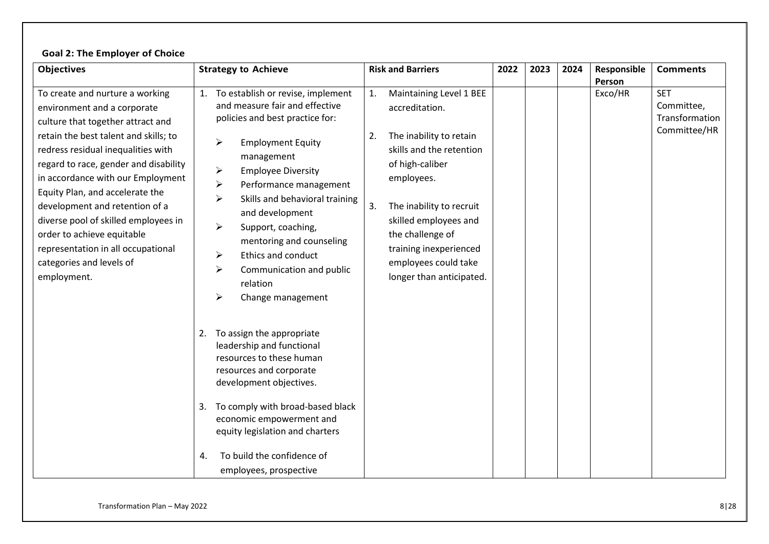# **Goal 2: The Employer of Choice**

| <b>Objectives</b>                                                                                                                                                                                                                                                                                                                                                                                                                                                                            | <b>Strategy to Achieve</b>                                                                                                                                                                                                                                                                                                                                                                                                                                                                                                                                                          | <b>Risk and Barriers</b>                                                                                                                                                                                                                                                                                   | 2022 | 2023 | 2024 | Responsible       | <b>Comments</b>                                            |
|----------------------------------------------------------------------------------------------------------------------------------------------------------------------------------------------------------------------------------------------------------------------------------------------------------------------------------------------------------------------------------------------------------------------------------------------------------------------------------------------|-------------------------------------------------------------------------------------------------------------------------------------------------------------------------------------------------------------------------------------------------------------------------------------------------------------------------------------------------------------------------------------------------------------------------------------------------------------------------------------------------------------------------------------------------------------------------------------|------------------------------------------------------------------------------------------------------------------------------------------------------------------------------------------------------------------------------------------------------------------------------------------------------------|------|------|------|-------------------|------------------------------------------------------------|
| To create and nurture a working<br>environment and a corporate<br>culture that together attract and<br>retain the best talent and skills; to<br>redress residual inequalities with<br>regard to race, gender and disability<br>in accordance with our Employment<br>Equity Plan, and accelerate the<br>development and retention of a<br>diverse pool of skilled employees in<br>order to achieve equitable<br>representation in all occupational<br>categories and levels of<br>employment. | To establish or revise, implement<br>1.<br>and measure fair and effective<br>policies and best practice for:<br>➤<br><b>Employment Equity</b><br>management<br>$\blacktriangleright$<br><b>Employee Diversity</b><br>$\blacktriangleright$<br>Performance management<br>Skills and behavioral training<br>➤<br>and development<br>➤<br>Support, coaching,<br>mentoring and counseling<br>Ethics and conduct<br>≻<br>➤<br>Communication and public<br>relation<br>⋗<br>Change management<br>To assign the appropriate<br>2.<br>leadership and functional<br>resources to these human | Maintaining Level 1 BEE<br>1.<br>accreditation.<br>The inability to retain<br>2.<br>skills and the retention<br>of high-caliber<br>employees.<br>3.<br>The inability to recruit<br>skilled employees and<br>the challenge of<br>training inexperienced<br>employees could take<br>longer than anticipated. |      |      |      | Person<br>Exco/HR | <b>SET</b><br>Committee,<br>Transformation<br>Committee/HR |
|                                                                                                                                                                                                                                                                                                                                                                                                                                                                                              | resources and corporate<br>development objectives.<br>To comply with broad-based black<br>3.<br>economic empowerment and<br>equity legislation and charters<br>To build the confidence of<br>4.<br>employees, prospective                                                                                                                                                                                                                                                                                                                                                           |                                                                                                                                                                                                                                                                                                            |      |      |      |                   |                                                            |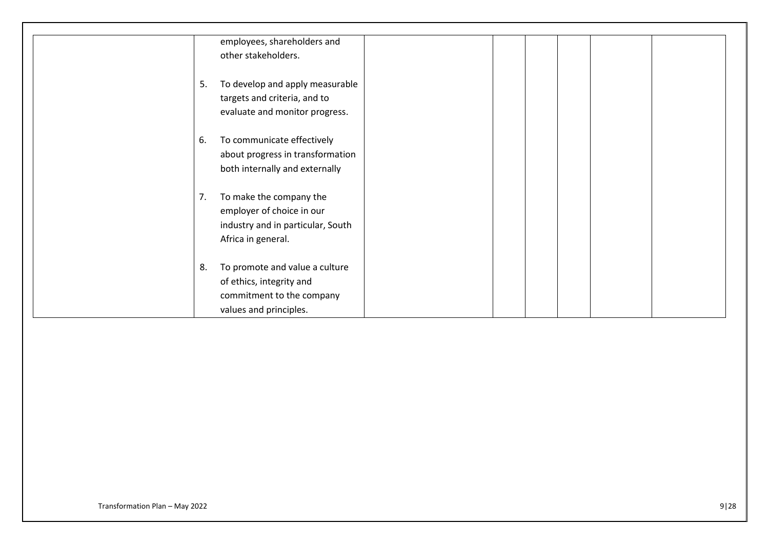|    | employees, shareholders and       |
|----|-----------------------------------|
|    | other stakeholders.               |
|    |                                   |
| 5. | To develop and apply measurable   |
|    | targets and criteria, and to      |
|    | evaluate and monitor progress.    |
|    |                                   |
| 6. | To communicate effectively        |
|    | about progress in transformation  |
|    | both internally and externally    |
|    |                                   |
| 7. |                                   |
|    | To make the company the           |
|    | employer of choice in our         |
|    | industry and in particular, South |
|    | Africa in general.                |
|    |                                   |
| 8. | To promote and value a culture    |
|    | of ethics, integrity and          |
|    | commitment to the company         |
|    | values and principles.            |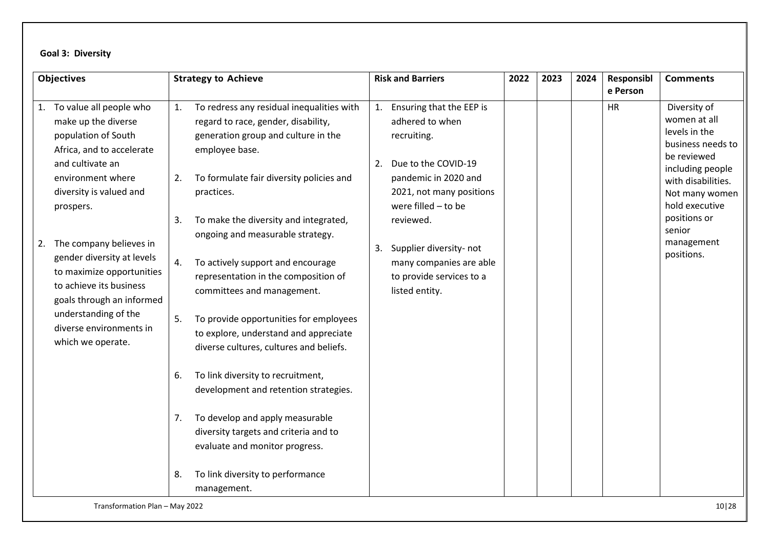# **Goal 3: Diversity**

| <b>Objectives</b>                                                                                                                                                                                                                                                                                                                                                                                                  | <b>Strategy to Achieve</b>                                                                                                                                                                                                                                                                                                                                                                                                                                                                                                                                                                                                                                                                                                                                                                                               | <b>Risk and Barriers</b>                                                                                                                                                                                                                                                                     | 2022 | 2023 | 2024 | Responsibl<br>e Person | <b>Comments</b>                                                                                                                                                                                                       |
|--------------------------------------------------------------------------------------------------------------------------------------------------------------------------------------------------------------------------------------------------------------------------------------------------------------------------------------------------------------------------------------------------------------------|--------------------------------------------------------------------------------------------------------------------------------------------------------------------------------------------------------------------------------------------------------------------------------------------------------------------------------------------------------------------------------------------------------------------------------------------------------------------------------------------------------------------------------------------------------------------------------------------------------------------------------------------------------------------------------------------------------------------------------------------------------------------------------------------------------------------------|----------------------------------------------------------------------------------------------------------------------------------------------------------------------------------------------------------------------------------------------------------------------------------------------|------|------|------|------------------------|-----------------------------------------------------------------------------------------------------------------------------------------------------------------------------------------------------------------------|
| 1. To value all people who<br>make up the diverse<br>population of South<br>Africa, and to accelerate<br>and cultivate an<br>environment where<br>diversity is valued and<br>prospers.<br>The company believes in<br>2.<br>gender diversity at levels<br>to maximize opportunities<br>to achieve its business<br>goals through an informed<br>understanding of the<br>diverse environments in<br>which we operate. | To redress any residual inequalities with<br>1.<br>regard to race, gender, disability,<br>generation group and culture in the<br>employee base.<br>To formulate fair diversity policies and<br>2.<br>practices.<br>To make the diversity and integrated,<br>3.<br>ongoing and measurable strategy.<br>To actively support and encourage<br>4.<br>representation in the composition of<br>committees and management.<br>To provide opportunities for employees<br>5.<br>to explore, understand and appreciate<br>diverse cultures, cultures and beliefs.<br>To link diversity to recruitment,<br>6.<br>development and retention strategies.<br>To develop and apply measurable<br>7.<br>diversity targets and criteria and to<br>evaluate and monitor progress.<br>To link diversity to performance<br>8.<br>management. | 1. Ensuring that the EEP is<br>adhered to when<br>recruiting.<br>Due to the COVID-19<br>2.<br>pandemic in 2020 and<br>2021, not many positions<br>were filled - to be<br>reviewed.<br>Supplier diversity- not<br>3.<br>many companies are able<br>to provide services to a<br>listed entity. |      |      |      | <b>HR</b>              | Diversity of<br>women at all<br>levels in the<br>business needs to<br>be reviewed<br>including people<br>with disabilities.<br>Not many women<br>hold executive<br>positions or<br>senior<br>management<br>positions. |

Transformation Plan – May 2022 10|28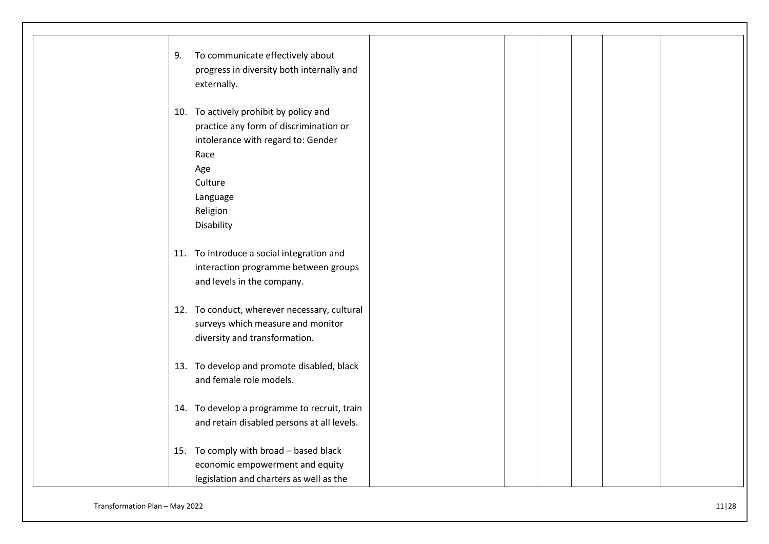| To communicate effectively about<br>9.<br>progress in diversity both internally and<br>externally.                                                                                     |
|----------------------------------------------------------------------------------------------------------------------------------------------------------------------------------------|
| 10. To actively prohibit by policy and<br>practice any form of discrimination or<br>intolerance with regard to: Gender<br>Race<br>Age<br>Culture<br>Language<br>Religion<br>Disability |
| 11. To introduce a social integration and<br>interaction programme between groups<br>and levels in the company.                                                                        |
| 12. To conduct, wherever necessary, cultural<br>surveys which measure and monitor<br>diversity and transformation.                                                                     |
| 13. To develop and promote disabled, black<br>and female role models.                                                                                                                  |
| 14. To develop a programme to recruit, train<br>and retain disabled persons at all levels.                                                                                             |
| 15. To comply with broad - based black<br>economic empowerment and equity<br>legislation and charters as well as the                                                                   |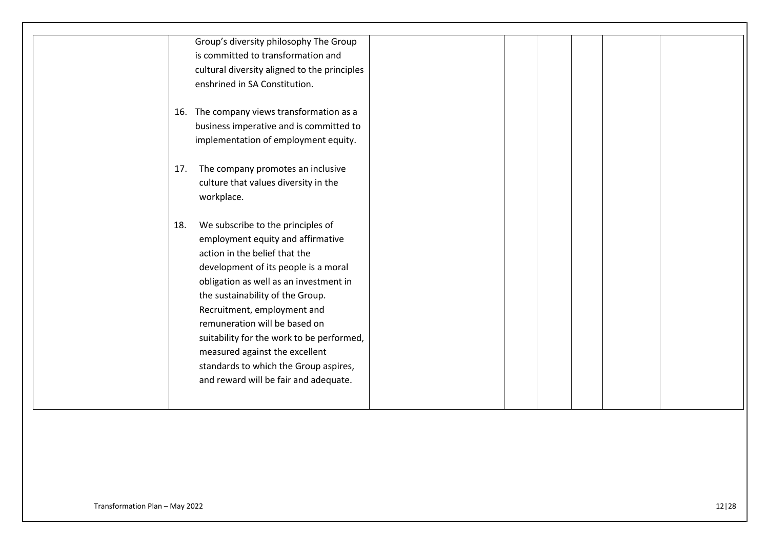|     | Group's diversity philosophy The Group       |  |  |
|-----|----------------------------------------------|--|--|
|     | is committed to transformation and           |  |  |
|     | cultural diversity aligned to the principles |  |  |
|     | enshrined in SA Constitution.                |  |  |
|     |                                              |  |  |
|     | 16. The company views transformation as a    |  |  |
|     | business imperative and is committed to      |  |  |
|     | implementation of employment equity.         |  |  |
|     |                                              |  |  |
| 17. | The company promotes an inclusive            |  |  |
|     | culture that values diversity in the         |  |  |
|     | workplace.                                   |  |  |
|     |                                              |  |  |
| 18. | We subscribe to the principles of            |  |  |
|     | employment equity and affirmative            |  |  |
|     | action in the belief that the                |  |  |
|     | development of its people is a moral         |  |  |
|     | obligation as well as an investment in       |  |  |
|     | the sustainability of the Group.             |  |  |
|     | Recruitment, employment and                  |  |  |
|     | remuneration will be based on                |  |  |
|     | suitability for the work to be performed,    |  |  |
|     | measured against the excellent               |  |  |
|     | standards to which the Group aspires,        |  |  |
|     | and reward will be fair and adequate.        |  |  |
|     |                                              |  |  |
|     |                                              |  |  |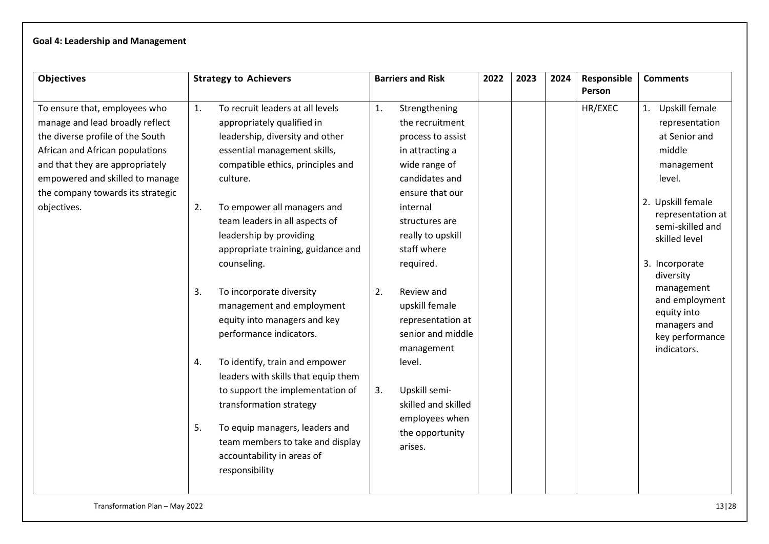# **Goal 4: Leadership and Management**

| <b>Objectives</b>                                                                                                                                                                                                                                                 | <b>Strategy to Achievers</b>                                                                                                                                                                                                                                                                                                                    | <b>Barriers and Risk</b>                                                                                                                                                                                            | 2022 | 2023 | 2024 | Responsible<br>Person | <b>Comments</b>                                                                                                                                                                         |
|-------------------------------------------------------------------------------------------------------------------------------------------------------------------------------------------------------------------------------------------------------------------|-------------------------------------------------------------------------------------------------------------------------------------------------------------------------------------------------------------------------------------------------------------------------------------------------------------------------------------------------|---------------------------------------------------------------------------------------------------------------------------------------------------------------------------------------------------------------------|------|------|------|-----------------------|-----------------------------------------------------------------------------------------------------------------------------------------------------------------------------------------|
| To ensure that, employees who<br>manage and lead broadly reflect<br>the diverse profile of the South<br>African and African populations<br>and that they are appropriately<br>empowered and skilled to manage<br>the company towards its strategic<br>objectives. | To recruit leaders at all levels<br>1.<br>appropriately qualified in<br>leadership, diversity and other<br>essential management skills,<br>compatible ethics, principles and<br>culture.<br>To empower all managers and<br>2.<br>team leaders in all aspects of<br>leadership by providing<br>appropriate training, guidance and<br>counseling. | 1.<br>Strengthening<br>the recruitment<br>process to assist<br>in attracting a<br>wide range of<br>candidates and<br>ensure that our<br>internal<br>structures are<br>really to upskill<br>staff where<br>required. |      |      |      | HR/EXEC               | 1. Upskill female<br>representation<br>at Senior and<br>middle<br>management<br>level.<br>2. Upskill female<br>representation at<br>semi-skilled and<br>skilled level<br>3. Incorporate |
|                                                                                                                                                                                                                                                                   | To incorporate diversity<br>3.<br>management and employment<br>equity into managers and key<br>performance indicators.<br>To identify, train and empower<br>4.                                                                                                                                                                                  | 2.<br>Review and<br>upskill female<br>representation at<br>senior and middle<br>management<br>level.                                                                                                                |      |      |      |                       | diversity<br>management<br>and employment<br>equity into<br>managers and<br>key performance<br>indicators.                                                                              |
|                                                                                                                                                                                                                                                                   | leaders with skills that equip them<br>to support the implementation of<br>transformation strategy<br>To equip managers, leaders and<br>5.<br>team members to take and display<br>accountability in areas of<br>responsibility                                                                                                                  | Upskill semi-<br>3.<br>skilled and skilled<br>employees when<br>the opportunity<br>arises.                                                                                                                          |      |      |      |                       |                                                                                                                                                                                         |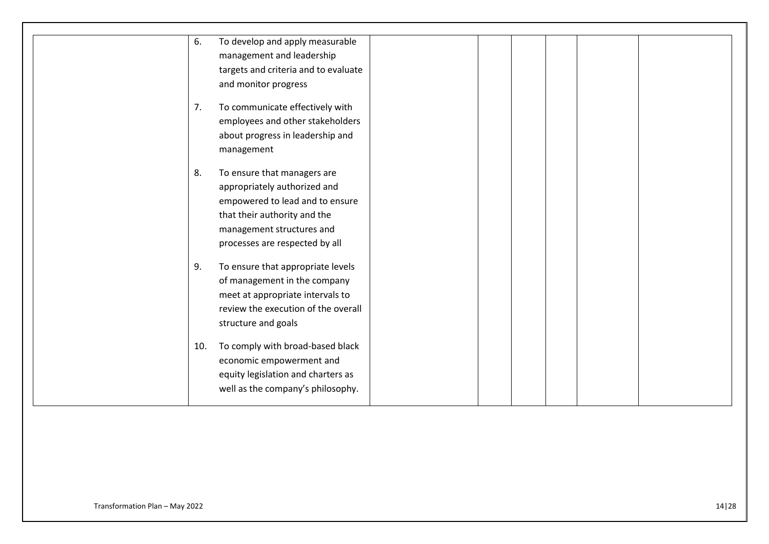| 6. | To develop and apply measurable         |  |
|----|-----------------------------------------|--|
|    | management and leadership               |  |
|    | targets and criteria and to evaluate    |  |
|    | and monitor progress                    |  |
| 7. | To communicate effectively with         |  |
|    | employees and other stakeholders        |  |
|    | about progress in leadership and        |  |
|    | management                              |  |
| 8. | To ensure that managers are             |  |
|    | appropriately authorized and            |  |
|    | empowered to lead and to ensure         |  |
|    | that their authority and the            |  |
|    | management structures and               |  |
|    | processes are respected by all          |  |
| 9. | To ensure that appropriate levels       |  |
|    | of management in the company            |  |
|    | meet at appropriate intervals to        |  |
|    | review the execution of the overall     |  |
|    | structure and goals                     |  |
|    |                                         |  |
|    | To comply with broad-based black<br>10. |  |
|    | economic empowerment and                |  |
|    | equity legislation and charters as      |  |
|    | well as the company's philosophy.       |  |
|    |                                         |  |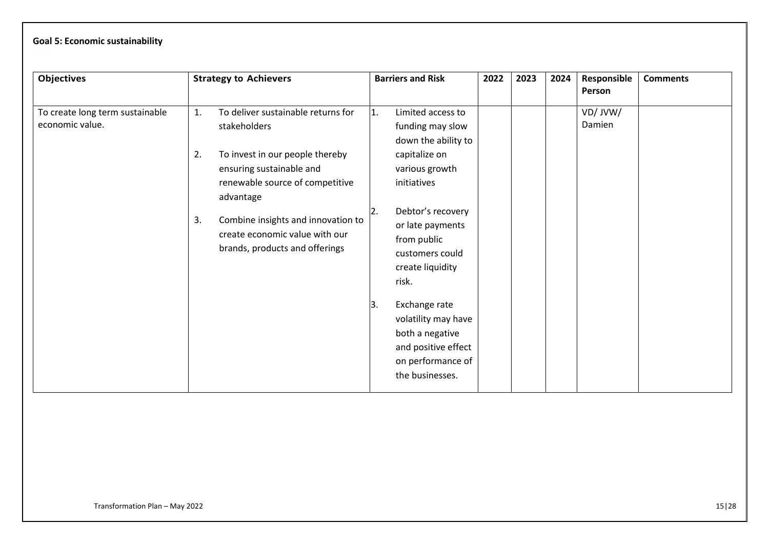# **Goal 5: Economic sustainability**

| <b>Objectives</b>                                  |                | <b>Strategy to Achievers</b>                                                                                                                                                                                                                                                |            | <b>Barriers and Risk</b>                                                                                                                                                                                                                                                                                 | 2022 | 2023 | 2024 | Responsible<br>Person | <b>Comments</b> |
|----------------------------------------------------|----------------|-----------------------------------------------------------------------------------------------------------------------------------------------------------------------------------------------------------------------------------------------------------------------------|------------|----------------------------------------------------------------------------------------------------------------------------------------------------------------------------------------------------------------------------------------------------------------------------------------------------------|------|------|------|-----------------------|-----------------|
| To create long term sustainable<br>economic value. | 1.<br>2.<br>3. | To deliver sustainable returns for<br>stakeholders<br>To invest in our people thereby<br>ensuring sustainable and<br>renewable source of competitive<br>advantage<br>Combine insights and innovation to<br>create economic value with our<br>brands, products and offerings | 11.<br>13. | Limited access to<br>funding may slow<br>down the ability to<br>capitalize on<br>various growth<br>initiatives<br>Debtor's recovery<br>or late payments<br>from public<br>customers could<br>create liquidity<br>risk.<br>Exchange rate<br>volatility may have<br>both a negative<br>and positive effect |      |      |      | VD/JVW/<br>Damien     |                 |
|                                                    |                |                                                                                                                                                                                                                                                                             |            | on performance of<br>the businesses.                                                                                                                                                                                                                                                                     |      |      |      |                       |                 |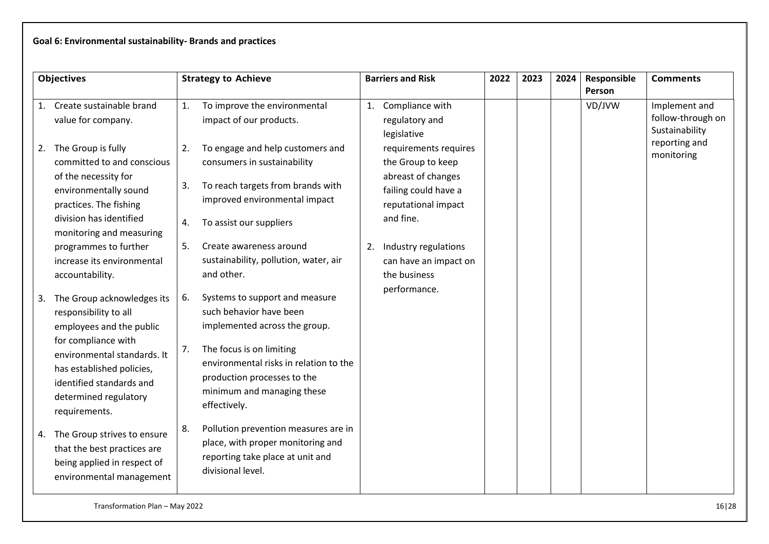# **Goal 6: Environmental sustainability- Brands and practices**

| <b>Objectives</b> |                                                                                                                                                                                                                                          | <b>Strategy to Achieve</b> |                                                                                                                                                                                                                                               |    | <b>Barriers and Risk</b>                                                                                                     | 2022 | 2023 | 2024 | Responsible<br>Person | <b>Comments</b>                                      |
|-------------------|------------------------------------------------------------------------------------------------------------------------------------------------------------------------------------------------------------------------------------------|----------------------------|-----------------------------------------------------------------------------------------------------------------------------------------------------------------------------------------------------------------------------------------------|----|------------------------------------------------------------------------------------------------------------------------------|------|------|------|-----------------------|------------------------------------------------------|
|                   | 1. Create sustainable brand<br>value for company.                                                                                                                                                                                        | 1.                         | To improve the environmental<br>impact of our products.                                                                                                                                                                                       | 1. | Compliance with<br>regulatory and<br>legislative                                                                             |      |      |      | VD/JVW                | Implement and<br>follow-through on<br>Sustainability |
| 2.                | The Group is fully<br>committed to and conscious<br>of the necessity for<br>environmentally sound<br>practices. The fishing<br>division has identified<br>monitoring and measuring                                                       | 2.<br>3.<br>4.             | To engage and help customers and<br>consumers in sustainability<br>To reach targets from brands with<br>improved environmental impact<br>To assist our suppliers                                                                              |    | requirements requires<br>the Group to keep<br>abreast of changes<br>failing could have a<br>reputational impact<br>and fine. |      |      |      |                       | reporting and<br>monitoring                          |
|                   | programmes to further<br>increase its environmental<br>accountability.                                                                                                                                                                   | 5.                         | Create awareness around<br>sustainability, pollution, water, air<br>and other.                                                                                                                                                                |    | 2. Industry regulations<br>can have an impact on<br>the business                                                             |      |      |      |                       |                                                      |
| 3.                | The Group acknowledges its<br>responsibility to all<br>employees and the public<br>for compliance with<br>environmental standards. It<br>has established policies,<br>identified standards and<br>determined regulatory<br>requirements. | 6.<br>7.                   | Systems to support and measure<br>such behavior have been<br>implemented across the group.<br>The focus is on limiting<br>environmental risks in relation to the<br>production processes to the<br>minimum and managing these<br>effectively. |    | performance.                                                                                                                 |      |      |      |                       |                                                      |
| 4.                | The Group strives to ensure<br>that the best practices are<br>being applied in respect of<br>environmental management                                                                                                                    | 8.                         | Pollution prevention measures are in<br>place, with proper monitoring and<br>reporting take place at unit and<br>divisional level.                                                                                                            |    |                                                                                                                              |      |      |      |                       |                                                      |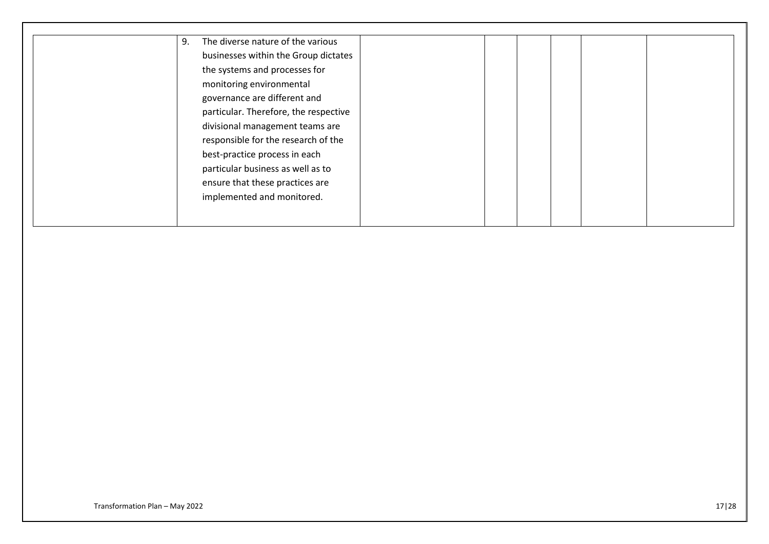| 9. | The diverse nature of the various     |  |
|----|---------------------------------------|--|
|    | businesses within the Group dictates  |  |
|    | the systems and processes for         |  |
|    | monitoring environmental              |  |
|    | governance are different and          |  |
|    | particular. Therefore, the respective |  |
|    | divisional management teams are       |  |
|    | responsible for the research of the   |  |
|    | best-practice process in each         |  |
|    | particular business as well as to     |  |
|    | ensure that these practices are       |  |
|    | implemented and monitored.            |  |
|    |                                       |  |
|    |                                       |  |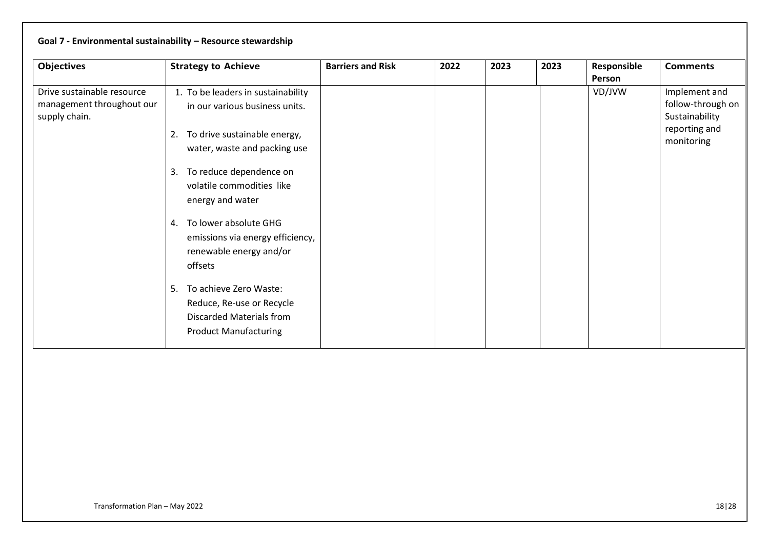|                                                                          | Goal 7 - Environmental sustainability - Resource stewardship                                                                               |                          |      |      |      |                       |                                                                                     |
|--------------------------------------------------------------------------|--------------------------------------------------------------------------------------------------------------------------------------------|--------------------------|------|------|------|-----------------------|-------------------------------------------------------------------------------------|
| <b>Objectives</b>                                                        | <b>Strategy to Achieve</b>                                                                                                                 | <b>Barriers and Risk</b> | 2022 | 2023 | 2023 | Responsible<br>Person | <b>Comments</b>                                                                     |
| Drive sustainable resource<br>management throughout our<br>supply chain. | 1. To be leaders in sustainability<br>in our various business units.<br>To drive sustainable energy,<br>2.<br>water, waste and packing use |                          |      |      |      | VD/JVW                | Implement and<br>follow-through on<br>Sustainability<br>reporting and<br>monitoring |
|                                                                          | To reduce dependence on<br>3.<br>volatile commodities like<br>energy and water                                                             |                          |      |      |      |                       |                                                                                     |
|                                                                          | To lower absolute GHG<br>4.<br>emissions via energy efficiency,<br>renewable energy and/or<br>offsets                                      |                          |      |      |      |                       |                                                                                     |
|                                                                          | To achieve Zero Waste:<br>5.<br>Reduce, Re-use or Recycle<br><b>Discarded Materials from</b><br><b>Product Manufacturing</b>               |                          |      |      |      |                       |                                                                                     |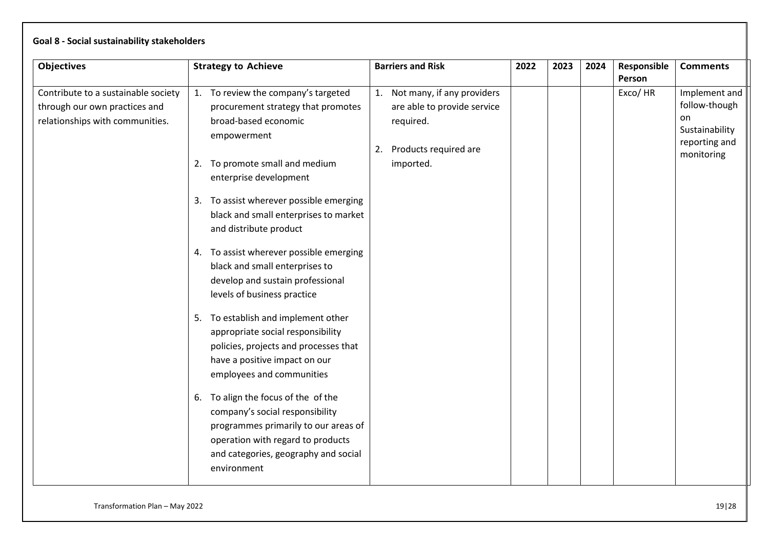|  | Goal 8 - Social sustainability stakeholders |  |
|--|---------------------------------------------|--|
|--|---------------------------------------------|--|

| <b>Objectives</b>                                                                                       | <b>Strategy to Achieve</b>                                                                                                                                                                                                                                                                                                                                                                                                                                                                                                                                                                                                                                                                                                                            | <b>Barriers and Risk</b>                                                                                              | 2022 | 2023 | 2024 | Responsible | <b>Comments</b>                                                                       |
|---------------------------------------------------------------------------------------------------------|-------------------------------------------------------------------------------------------------------------------------------------------------------------------------------------------------------------------------------------------------------------------------------------------------------------------------------------------------------------------------------------------------------------------------------------------------------------------------------------------------------------------------------------------------------------------------------------------------------------------------------------------------------------------------------------------------------------------------------------------------------|-----------------------------------------------------------------------------------------------------------------------|------|------|------|-------------|---------------------------------------------------------------------------------------|
|                                                                                                         |                                                                                                                                                                                                                                                                                                                                                                                                                                                                                                                                                                                                                                                                                                                                                       |                                                                                                                       |      |      |      | Person      |                                                                                       |
| Contribute to a sustainable society<br>through our own practices and<br>relationships with communities. | 1. To review the company's targeted<br>procurement strategy that promotes<br>broad-based economic<br>empowerment<br>To promote small and medium<br>2.<br>enterprise development<br>3. To assist wherever possible emerging<br>black and small enterprises to market<br>and distribute product<br>4. To assist wherever possible emerging<br>black and small enterprises to<br>develop and sustain professional<br>levels of business practice<br>5. To establish and implement other<br>appropriate social responsibility<br>policies, projects and processes that<br>have a positive impact on our<br>employees and communities<br>To align the focus of the of the<br>6.<br>company's social responsibility<br>programmes primarily to our areas of | 1. Not many, if any providers<br>are able to provide service<br>required.<br>Products required are<br>2.<br>imported. |      |      |      | Exco/HR     | Implement and<br>follow-though<br>on<br>Sustainability<br>reporting and<br>monitoring |
|                                                                                                         | operation with regard to products                                                                                                                                                                                                                                                                                                                                                                                                                                                                                                                                                                                                                                                                                                                     |                                                                                                                       |      |      |      |             |                                                                                       |
|                                                                                                         | and categories, geography and social<br>environment                                                                                                                                                                                                                                                                                                                                                                                                                                                                                                                                                                                                                                                                                                   |                                                                                                                       |      |      |      |             |                                                                                       |
|                                                                                                         |                                                                                                                                                                                                                                                                                                                                                                                                                                                                                                                                                                                                                                                                                                                                                       |                                                                                                                       |      |      |      |             |                                                                                       |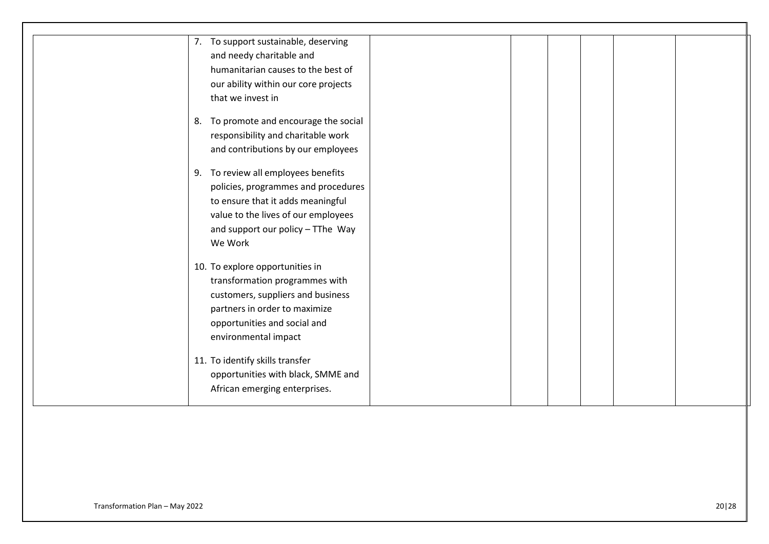| 7. To support sustainable, deserving   |
|----------------------------------------|
| and needy charitable and               |
| humanitarian causes to the best of     |
| our ability within our core projects   |
| that we invest in                      |
| 8. To promote and encourage the social |
| responsibility and charitable work     |
| and contributions by our employees     |
| 9. To review all employees benefits    |
| policies, programmes and procedures    |
| to ensure that it adds meaningful      |
| value to the lives of our employees    |
| and support our policy - TThe Way      |
| We Work                                |
| 10. To explore opportunities in        |
| transformation programmes with         |
| customers, suppliers and business      |
| partners in order to maximize          |
| opportunities and social and           |
| environmental impact                   |
| 11. To identify skills transfer        |
| opportunities with black, SMME and     |
| African emerging enterprises.          |
|                                        |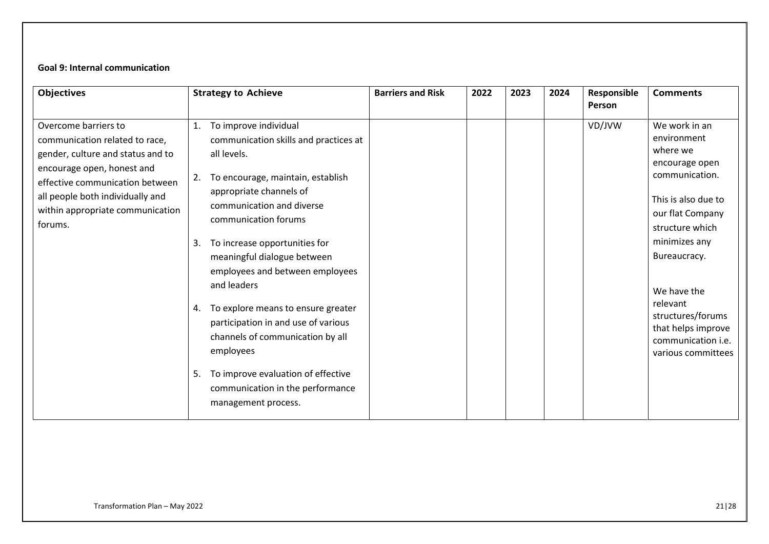## **Goal 9: Internal communication**

| <b>Objectives</b>                                                                                                                                                                                                                               | <b>Strategy to Achieve</b>                                                                                                                                                                                                                                                                                                                                                                                                                                                                                                                                                        | <b>Barriers and Risk</b> | 2022 | 2023 | 2024 | Responsible<br>Person | <b>Comments</b>                                                                                                                                                                                                                                                                               |
|-------------------------------------------------------------------------------------------------------------------------------------------------------------------------------------------------------------------------------------------------|-----------------------------------------------------------------------------------------------------------------------------------------------------------------------------------------------------------------------------------------------------------------------------------------------------------------------------------------------------------------------------------------------------------------------------------------------------------------------------------------------------------------------------------------------------------------------------------|--------------------------|------|------|------|-----------------------|-----------------------------------------------------------------------------------------------------------------------------------------------------------------------------------------------------------------------------------------------------------------------------------------------|
| Overcome barriers to<br>communication related to race,<br>gender, culture and status and to<br>encourage open, honest and<br>effective communication between<br>all people both individually and<br>within appropriate communication<br>forums. | To improve individual<br>1.<br>communication skills and practices at<br>all levels.<br>To encourage, maintain, establish<br>2.<br>appropriate channels of<br>communication and diverse<br>communication forums<br>To increase opportunities for<br>3.<br>meaningful dialogue between<br>employees and between employees<br>and leaders<br>To explore means to ensure greater<br>4.<br>participation in and use of various<br>channels of communication by all<br>employees<br>To improve evaluation of effective<br>5.<br>communication in the performance<br>management process. |                          |      |      |      | VD/JVW                | We work in an<br>environment<br>where we<br>encourage open<br>communication.<br>This is also due to<br>our flat Company<br>structure which<br>minimizes any<br>Bureaucracy.<br>We have the<br>relevant<br>structures/forums<br>that helps improve<br>communication i.e.<br>various committees |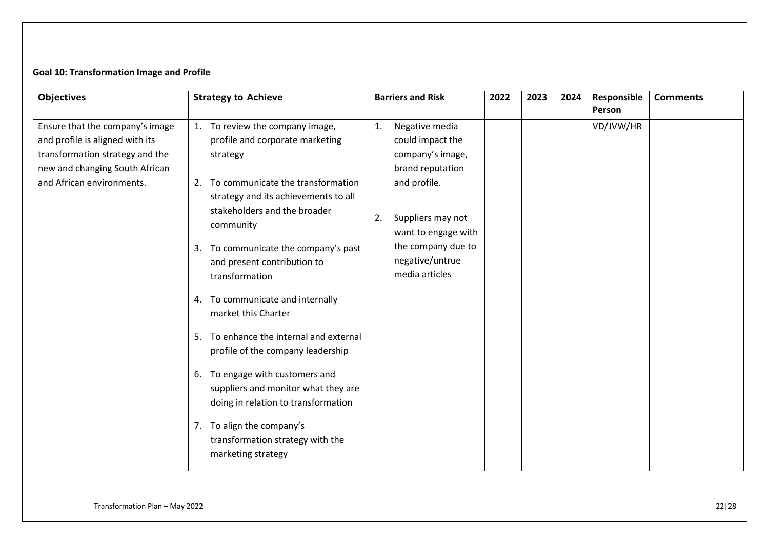# **Goal 10: Transformation Image and Profile**

| <b>Objectives</b>                                                                                                                       | <b>Strategy to Achieve</b>                                                                                                   | <b>Barriers and Risk</b>                                                         | 2022 | 2023 | 2024 | Responsible<br>Person | <b>Comments</b> |
|-----------------------------------------------------------------------------------------------------------------------------------------|------------------------------------------------------------------------------------------------------------------------------|----------------------------------------------------------------------------------|------|------|------|-----------------------|-----------------|
| Ensure that the company's image<br>and profile is aligned with its<br>transformation strategy and the<br>new and changing South African | To review the company image,<br>1.<br>profile and corporate marketing<br>strategy                                            | 1.<br>Negative media<br>could impact the<br>company's image,<br>brand reputation |      |      |      | VD/JVW/HR             |                 |
| and African environments.                                                                                                               | To communicate the transformation<br>2.<br>strategy and its achievements to all<br>stakeholders and the broader<br>community | and profile.<br>Suppliers may not<br>2.<br>want to engage with                   |      |      |      |                       |                 |
|                                                                                                                                         | To communicate the company's past<br>3.<br>and present contribution to<br>transformation                                     | the company due to<br>negative/untrue<br>media articles                          |      |      |      |                       |                 |
|                                                                                                                                         | To communicate and internally<br>4.<br>market this Charter                                                                   |                                                                                  |      |      |      |                       |                 |
|                                                                                                                                         | To enhance the internal and external<br>5.<br>profile of the company leadership                                              |                                                                                  |      |      |      |                       |                 |
|                                                                                                                                         | 6. To engage with customers and<br>suppliers and monitor what they are<br>doing in relation to transformation                |                                                                                  |      |      |      |                       |                 |
|                                                                                                                                         | 7. To align the company's<br>transformation strategy with the<br>marketing strategy                                          |                                                                                  |      |      |      |                       |                 |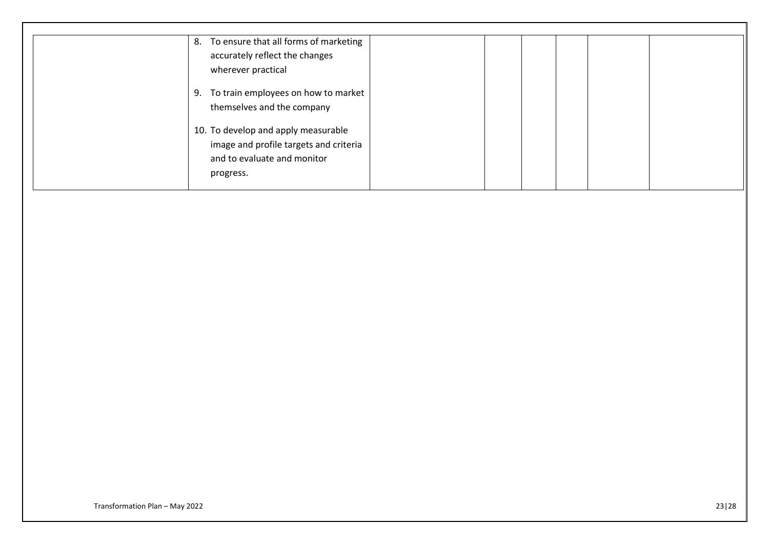| 8. To ensure that all forms of marketing |
|------------------------------------------|
| accurately reflect the changes           |
| wherever practical                       |
| 9. To train employees on how to market   |
| themselves and the company               |
| 10. To develop and apply measurable      |
| image and profile targets and criteria   |
| and to evaluate and monitor              |
| progress.                                |
|                                          |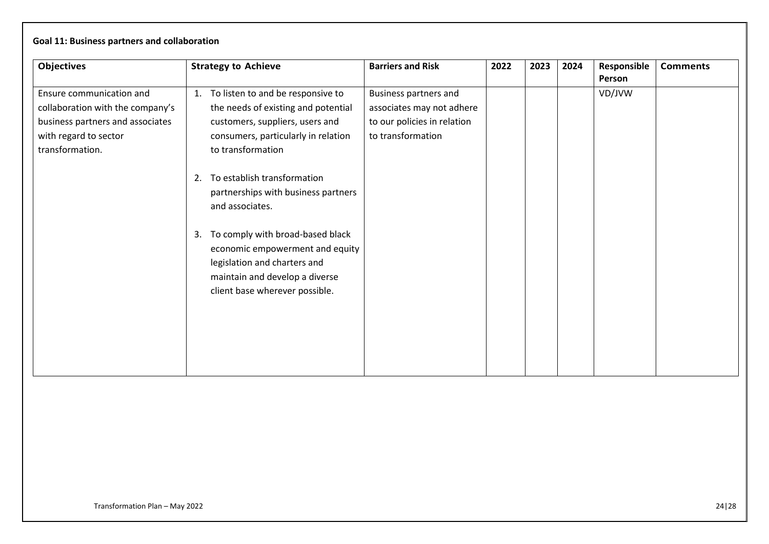| <b>Objectives</b>                                                                                                                            | <b>Strategy to Achieve</b>                                                                                                                                                                                                                                                   | <b>Barriers and Risk</b>                                                                               | 2022 | 2023 | 2024 | Responsible<br>Person | <b>Comments</b> |
|----------------------------------------------------------------------------------------------------------------------------------------------|------------------------------------------------------------------------------------------------------------------------------------------------------------------------------------------------------------------------------------------------------------------------------|--------------------------------------------------------------------------------------------------------|------|------|------|-----------------------|-----------------|
| Ensure communication and<br>collaboration with the company's<br>business partners and associates<br>with regard to sector<br>transformation. | To listen to and be responsive to<br>1.<br>the needs of existing and potential<br>customers, suppliers, users and<br>consumers, particularly in relation<br>to transformation<br>To establish transformation<br>2.<br>partnerships with business partners<br>and associates. | Business partners and<br>associates may not adhere<br>to our policies in relation<br>to transformation |      |      |      | VD/JVW                |                 |
|                                                                                                                                              | To comply with broad-based black<br>3.<br>economic empowerment and equity<br>legislation and charters and<br>maintain and develop a diverse<br>client base wherever possible.                                                                                                |                                                                                                        |      |      |      |                       |                 |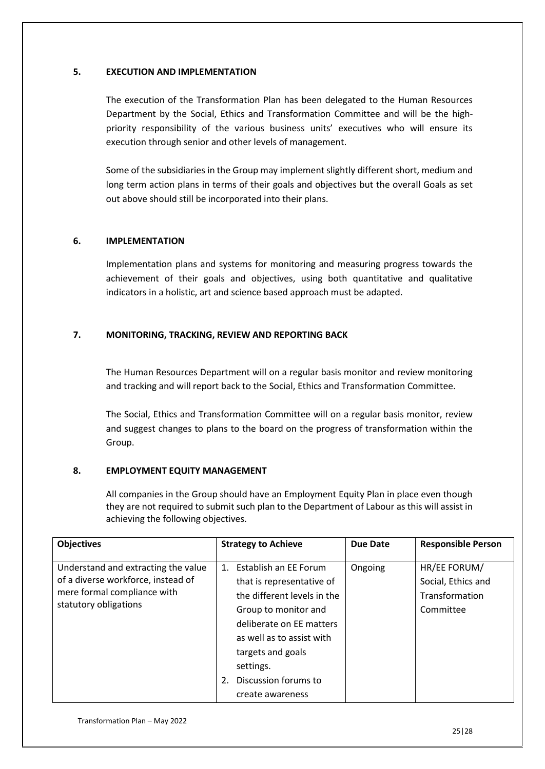### **5. EXECUTION AND IMPLEMENTATION**

The execution of the Transformation Plan has been delegated to the Human Resources Department by the Social, Ethics and Transformation Committee and will be the highpriority responsibility of the various business units' executives who will ensure its execution through senior and other levels of management.

Some of the subsidiaries in the Group may implement slightly different short, medium and long term action plans in terms of their goals and objectives but the overall Goals as set out above should still be incorporated into their plans.

## **6. IMPLEMENTATION**

Implementation plans and systems for monitoring and measuring progress towards the achievement of their goals and objectives, using both quantitative and qualitative indicators in a holistic, art and science based approach must be adapted.

## **7. MONITORING, TRACKING, REVIEW AND REPORTING BACK**

The Human Resources Department will on a regular basis monitor and review monitoring and tracking and will report back to the Social, Ethics and Transformation Committee.

The Social, Ethics and Transformation Committee will on a regular basis monitor, review and suggest changes to plans to the board on the progress of transformation within the Group.

## **8. EMPLOYMENT EQUITY MANAGEMENT**

All companies in the Group should have an Employment Equity Plan in place even though they are not required to submit such plan to the Department of Labour as this will assist in achieving the following objectives.

| <b>Objectives</b>                                                                                                                 | <b>Strategy to Achieve</b>                                                                                                                                                                                                                                | <b>Due Date</b> | <b>Responsible Person</b>                                         |
|-----------------------------------------------------------------------------------------------------------------------------------|-----------------------------------------------------------------------------------------------------------------------------------------------------------------------------------------------------------------------------------------------------------|-----------------|-------------------------------------------------------------------|
| Understand and extracting the value<br>of a diverse workforce, instead of<br>mere formal compliance with<br>statutory obligations | 1. Establish an EE Forum<br>that is representative of<br>the different levels in the<br>Group to monitor and<br>deliberate on EE matters<br>as well as to assist with<br>targets and goals<br>settings.<br>Discussion forums to<br>2.<br>create awareness | Ongoing         | HR/EE FORUM/<br>Social, Ethics and<br>Transformation<br>Committee |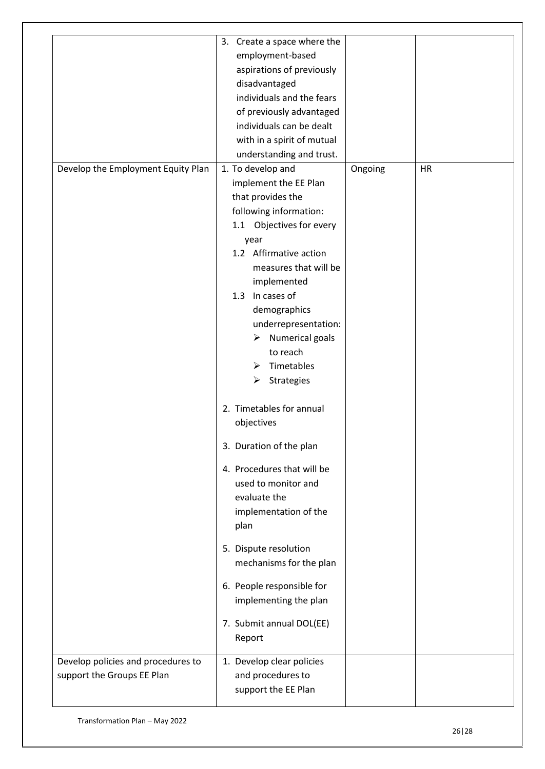|                                                                  | 3. Create a space where the<br>employment-based<br>aspirations of previously<br>disadvantaged<br>individuals and the fears<br>of previously advantaged<br>individuals can be dealt<br>with in a spirit of mutual<br>understanding and trust.                                                                                                                                                                                                                                                                                                                                                                                                                                            |         |           |
|------------------------------------------------------------------|-----------------------------------------------------------------------------------------------------------------------------------------------------------------------------------------------------------------------------------------------------------------------------------------------------------------------------------------------------------------------------------------------------------------------------------------------------------------------------------------------------------------------------------------------------------------------------------------------------------------------------------------------------------------------------------------|---------|-----------|
| Develop the Employment Equity Plan                               | 1. To develop and<br>implement the EE Plan<br>that provides the<br>following information:<br>1.1 Objectives for every<br>year<br>1.2 Affirmative action<br>measures that will be<br>implemented<br>1.3 In cases of<br>demographics<br>underrepresentation:<br>$\triangleright$ Numerical goals<br>to reach<br>$\triangleright$ Timetables<br>Strategies<br>≻<br>2. Timetables for annual<br>objectives<br>3. Duration of the plan<br>4. Procedures that will be<br>used to monitor and<br>evaluate the<br>implementation of the<br>plan<br>5. Dispute resolution<br>mechanisms for the plan<br>6. People responsible for<br>implementing the plan<br>7. Submit annual DOL(EE)<br>Report | Ongoing | <b>HR</b> |
| Develop policies and procedures to<br>support the Groups EE Plan | 1. Develop clear policies<br>and procedures to<br>support the EE Plan                                                                                                                                                                                                                                                                                                                                                                                                                                                                                                                                                                                                                   |         |           |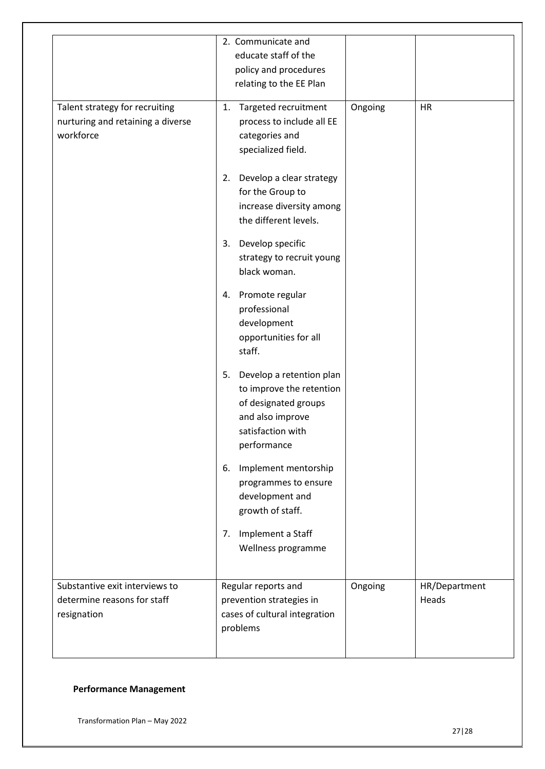|                                                                                  | 2. Communicate and<br>educate staff of the<br>policy and procedures<br>relating to the EE Plan                                             |         |                        |
|----------------------------------------------------------------------------------|--------------------------------------------------------------------------------------------------------------------------------------------|---------|------------------------|
| Talent strategy for recruiting<br>nurturing and retaining a diverse<br>workforce | Targeted recruitment<br>1.<br>process to include all EE<br>categories and<br>specialized field.                                            | Ongoing | HR                     |
|                                                                                  | Develop a clear strategy<br>2.<br>for the Group to<br>increase diversity among<br>the different levels.                                    |         |                        |
|                                                                                  | 3. Develop specific<br>strategy to recruit young<br>black woman.                                                                           |         |                        |
|                                                                                  | 4. Promote regular<br>professional<br>development<br>opportunities for all<br>staff.                                                       |         |                        |
|                                                                                  | Develop a retention plan<br>5.<br>to improve the retention<br>of designated groups<br>and also improve<br>satisfaction with<br>performance |         |                        |
|                                                                                  | Implement mentorship<br>6.<br>programmes to ensure<br>development and<br>growth of staff.                                                  |         |                        |
|                                                                                  | Implement a Staff<br>7.<br>Wellness programme                                                                                              |         |                        |
| Substantive exit interviews to<br>determine reasons for staff<br>resignation     | Regular reports and<br>prevention strategies in<br>cases of cultural integration<br>problems                                               | Ongoing | HR/Department<br>Heads |

## **Performance Management**

Transformation Plan – May 2022